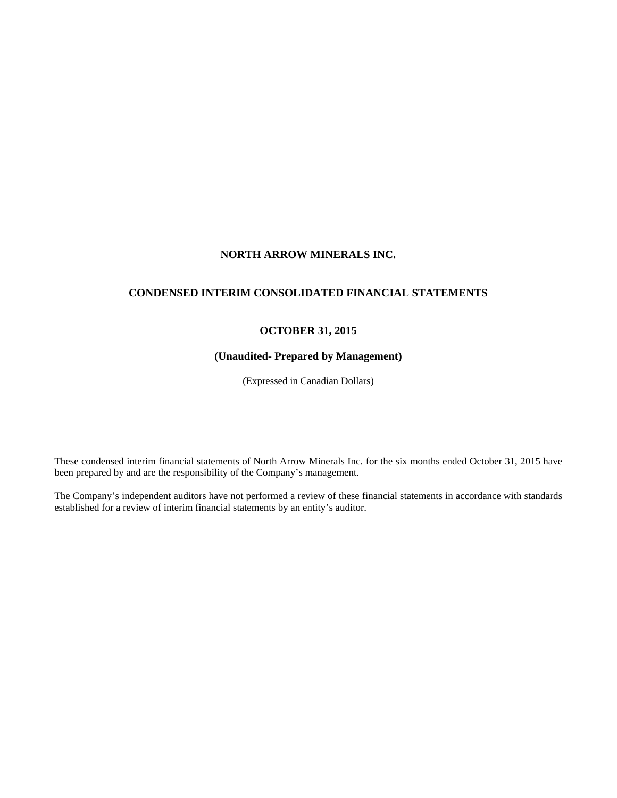# **NORTH ARROW MINERALS INC.**

# **CONDENSED INTERIM CONSOLIDATED FINANCIAL STATEMENTS**

# **OCTOBER 31, 2015**

# **(Unaudited- Prepared by Management)**

(Expressed in Canadian Dollars)

These condensed interim financial statements of North Arrow Minerals Inc. for the six months ended October 31, 2015 have been prepared by and are the responsibility of the Company's management.

The Company's independent auditors have not performed a review of these financial statements in accordance with standards established for a review of interim financial statements by an entity's auditor.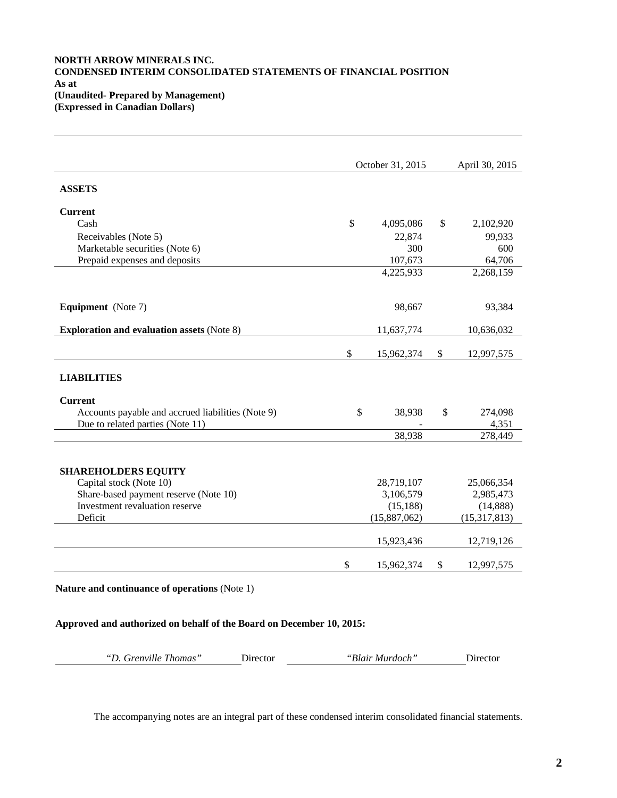# **NORTH ARROW MINERALS INC. CONDENSED INTERIM CONSOLIDATED STATEMENTS OF FINANCIAL POSITION As at (Unaudited- Prepared by Management) (Expressed in Canadian Dollars)**

|                                                   | October 31, 2015 | April 30, 2015   |
|---------------------------------------------------|------------------|------------------|
| <b>ASSETS</b>                                     |                  |                  |
| <b>Current</b>                                    |                  |                  |
| Cash                                              | \$<br>4,095,086  | \$<br>2,102,920  |
| Receivables (Note 5)                              | 22,874           | 99,933           |
| Marketable securities (Note 6)                    | 300              | 600              |
| Prepaid expenses and deposits                     | 107,673          | 64,706           |
|                                                   | 4,225,933        | 2,268,159        |
| Equipment (Note 7)                                | 98,667           | 93,384           |
| <b>Exploration and evaluation assets (Note 8)</b> | 11,637,774       | 10,636,032       |
|                                                   | \$<br>15,962,374 | \$<br>12,997,575 |
| <b>LIABILITIES</b>                                |                  |                  |
| <b>Current</b>                                    |                  |                  |
| Accounts payable and accrued liabilities (Note 9) | \$<br>38,938     | \$<br>274,098    |
| Due to related parties (Note 11)                  |                  | 4,351            |
|                                                   | 38,938           | 278,449          |
| <b>SHAREHOLDERS EQUITY</b>                        |                  |                  |
| Capital stock (Note 10)                           | 28,719,107       | 25,066,354       |
| Share-based payment reserve (Note 10)             | 3,106,579        | 2,985,473        |
| Investment revaluation reserve                    | (15, 188)        | (14,888)         |
| Deficit                                           | (15,887,062)     | (15,317,813)     |
|                                                   | 15,923,436       | 12,719,126       |
|                                                   |                  |                  |

# **Approved and authorized on behalf of the Board on December 10, 2015:**

| "D. Grenville Thomas" | Director | "Blair Murdoch" | Director |
|-----------------------|----------|-----------------|----------|
|                       |          |                 |          |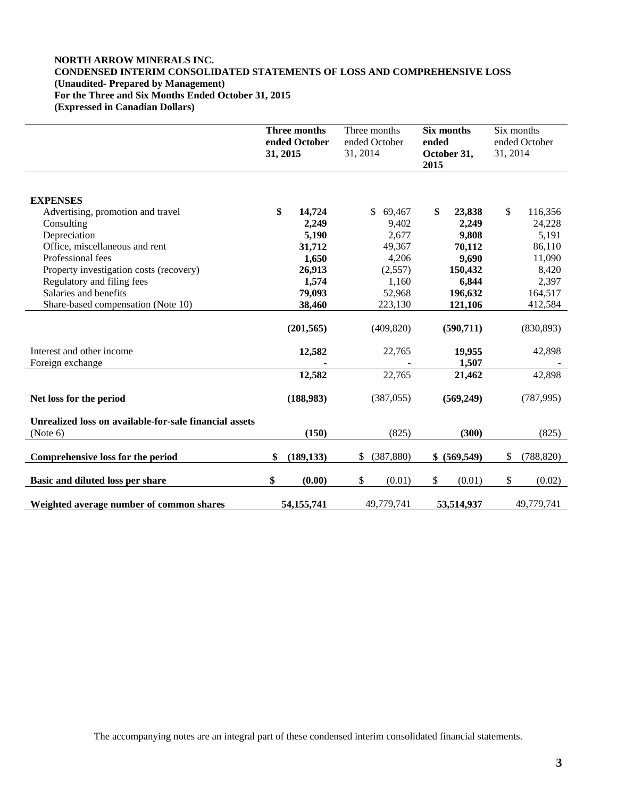# **NORTH ARROW MINERALS INC. CONDENSED INTERIM CONSOLIDATED STATEMENTS OF LOSS AND COMPREHENSIVE LOSS (Unaudited- Prepared by Management) For the Three and Six Months Ended October 31, 2015 (Expressed in Canadian Dollars)**

|                                                                    | Three months<br>ended October<br>31, 2015 | 31, 2014     | Three months<br>ended October | ended<br>2015 | Six months<br>October 31, | Six months<br>31, 2014 | ended October |
|--------------------------------------------------------------------|-------------------------------------------|--------------|-------------------------------|---------------|---------------------------|------------------------|---------------|
|                                                                    |                                           |              |                               |               |                           |                        |               |
| <b>EXPENSES</b>                                                    |                                           |              |                               |               |                           |                        |               |
| Advertising, promotion and travel                                  | \$<br>14,724                              |              | $\mathbb{S}$<br>69,467        | \$            | 23,838                    | \$                     | 116,356       |
| Consulting                                                         | 2,249                                     |              | 9,402                         |               | 2,249                     |                        | 24,228        |
| Depreciation                                                       | 5,190                                     |              | 2,677                         |               | 9,808                     |                        | 5,191         |
| Office, miscellaneous and rent                                     | 31,712                                    |              | 49,367                        |               | 70,112                    |                        | 86,110        |
| Professional fees                                                  | 1,650                                     |              | 4,206                         |               | 9,690                     |                        | 11,090        |
| Property investigation costs (recovery)                            | 26,913                                    |              | (2,557)                       |               | 150,432                   |                        | 8,420         |
| Regulatory and filing fees                                         | 1,574                                     |              | 1,160                         |               | 6,844                     |                        | 2,397         |
| Salaries and benefits                                              | 79,093                                    |              | 52,968                        |               | 196,632                   |                        | 164,517       |
| Share-based compensation (Note 10)                                 | 38,460                                    |              | 223,130                       |               | 121,106                   |                        | 412,584       |
|                                                                    | (201, 565)                                |              | (409, 820)                    |               | (590, 711)                |                        | (830, 893)    |
| Interest and other income                                          | 12,582                                    |              | 22,765                        |               | 19,955                    |                        | 42,898        |
| Foreign exchange                                                   |                                           |              |                               |               | 1,507                     |                        |               |
|                                                                    | 12,582                                    |              | 22,765                        |               | 21,462                    |                        | 42,898        |
| Net loss for the period                                            | (188,983)                                 |              | (387, 055)                    |               | (569,249)                 |                        | (787, 995)    |
| Unrealized loss on available-for-sale financial assets<br>(Note 6) | (150)                                     |              | (825)                         |               | (300)                     |                        | (825)         |
| Comprehensive loss for the period                                  | \$<br>(189, 133)                          | $\mathbb{S}$ | (387, 880)                    |               | \$ (569,549)              | \$                     | (788, 820)    |
| Basic and diluted loss per share                                   | \$<br>(0.00)                              | \$           | (0.01)                        | \$            | (0.01)                    | \$                     | (0.02)        |
| Weighted average number of common shares                           | 54, 155, 741                              |              | 49.779.741                    |               | 53,514,937                |                        | 49.779.741    |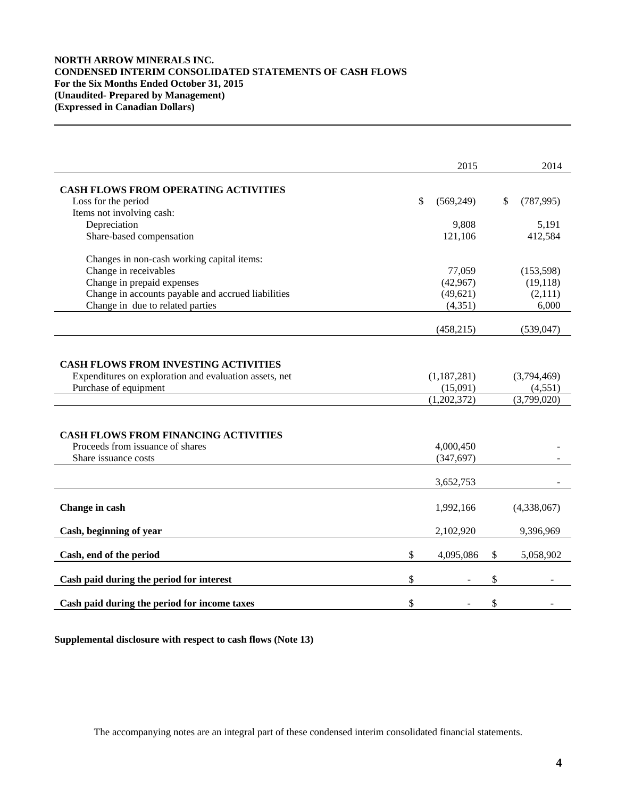# **NORTH ARROW MINERALS INC. CONDENSED INTERIM CONSOLIDATED STATEMENTS OF CASH FLOWS For the Six Months Ended October 31, 2015 (Unaudited- Prepared by Management) (Expressed in Canadian Dollars)**

|                                                        | 2015             | 2014             |
|--------------------------------------------------------|------------------|------------------|
|                                                        |                  |                  |
| <b>CASH FLOWS FROM OPERATING ACTIVITIES</b>            |                  |                  |
| Loss for the period                                    | \$<br>(569, 249) | \$<br>(787, 995) |
| Items not involving cash:                              |                  |                  |
| Depreciation                                           | 9,808            | 5,191            |
| Share-based compensation                               | 121,106          | 412,584          |
| Changes in non-cash working capital items:             |                  |                  |
| Change in receivables                                  | 77,059           | (153, 598)       |
| Change in prepaid expenses                             | (42, 967)        | (19, 118)        |
| Change in accounts payable and accrued liabilities     | (49, 621)        | (2,111)          |
| Change in due to related parties                       | (4, 351)         | 6,000            |
|                                                        | (458, 215)       | (539, 047)       |
|                                                        |                  |                  |
| <b>CASH FLOWS FROM INVESTING ACTIVITIES</b>            |                  |                  |
| Expenditures on exploration and evaluation assets, net | (1, 187, 281)    | (3,794,469)      |
| Purchase of equipment                                  | (15,091)         | (4, 551)         |
|                                                        | (1,202,372)      | (3,799,020)      |
|                                                        |                  |                  |
| <b>CASH FLOWS FROM FINANCING ACTIVITIES</b>            |                  |                  |
| Proceeds from issuance of shares                       | 4,000,450        |                  |
| Share issuance costs                                   | (347, 697)       |                  |
|                                                        | 3,652,753        |                  |
|                                                        |                  |                  |
| Change in cash                                         | 1,992,166        | (4,338,067)      |
| Cash, beginning of year                                | 2,102,920        | 9,396,969        |
|                                                        |                  |                  |
| Cash, end of the period                                | \$<br>4,095,086  | \$<br>5,058,902  |
| Cash paid during the period for interest               | \$               | \$               |
| Cash paid during the period for income taxes           | \$               | \$               |

**Supplemental disclosure with respect to cash flows (Note 13)**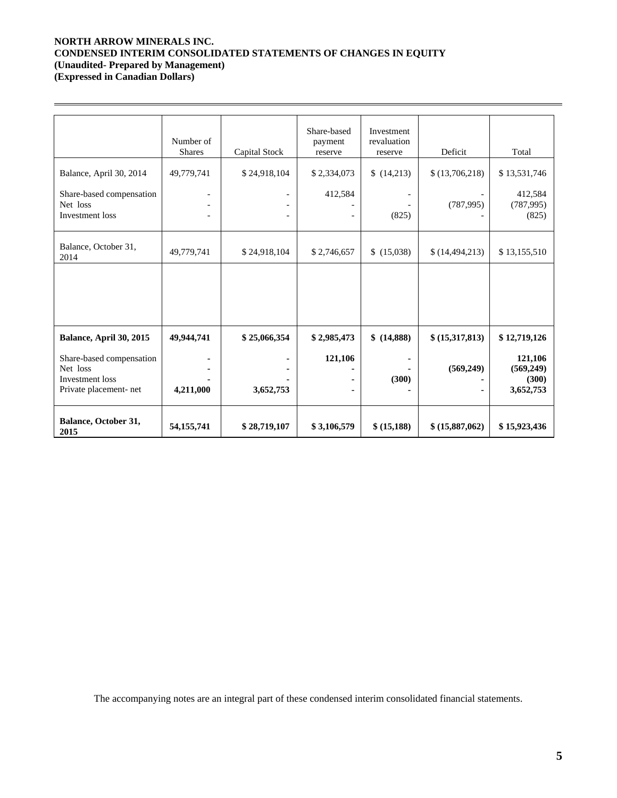# **NORTH ARROW MINERALS INC. CONDENSED INTERIM CONSOLIDATED STATEMENTS OF CHANGES IN EQUITY (Unaudited- Prepared by Management)**

**(Expressed in Canadian Dollars)** 

 $\overline{a}$ 

|                                                                                   | Number of<br><b>Shares</b> | Capital Stock | Share-based<br>payment<br>reserve | Investment<br>revaluation<br>reserve | Deficit          | Total                                       |
|-----------------------------------------------------------------------------------|----------------------------|---------------|-----------------------------------|--------------------------------------|------------------|---------------------------------------------|
| Balance, April 30, 2014                                                           | 49,779,741                 | \$24,918,104  | \$2,334,073                       | \$(14,213)                           | \$(13,706,218)   | \$13,531,746                                |
| Share-based compensation<br>Net loss<br>Investment loss                           |                            |               | 412,584                           | (825)                                | (787, 995)       | 412,584<br>(787, 995)<br>(825)              |
| Balance, October 31,<br>2014                                                      | 49,779,741                 | \$24,918,104  | \$2,746,657                       | \$(15,038)                           | \$(14, 494, 213) | \$13,155,510                                |
|                                                                                   |                            |               |                                   |                                      |                  |                                             |
| Balance, April 30, 2015                                                           | 49,944,741                 | \$25,066,354  | \$2,985,473                       | \$ (14,888)                          | \$(15,317,813)   | \$12,719,126                                |
| Share-based compensation<br>Net loss<br>Investment loss<br>Private placement- net | 4,211,000                  | 3,652,753     | 121,106                           | (300)                                | (569, 249)       | 121,106<br>(569, 249)<br>(300)<br>3,652,753 |
| Balance, October 31,<br>2015                                                      | 54, 155, 741               | \$28,719,107  | \$3,106,579                       | \$ (15,188)                          | \$ (15,887,062)  | \$15,923,436                                |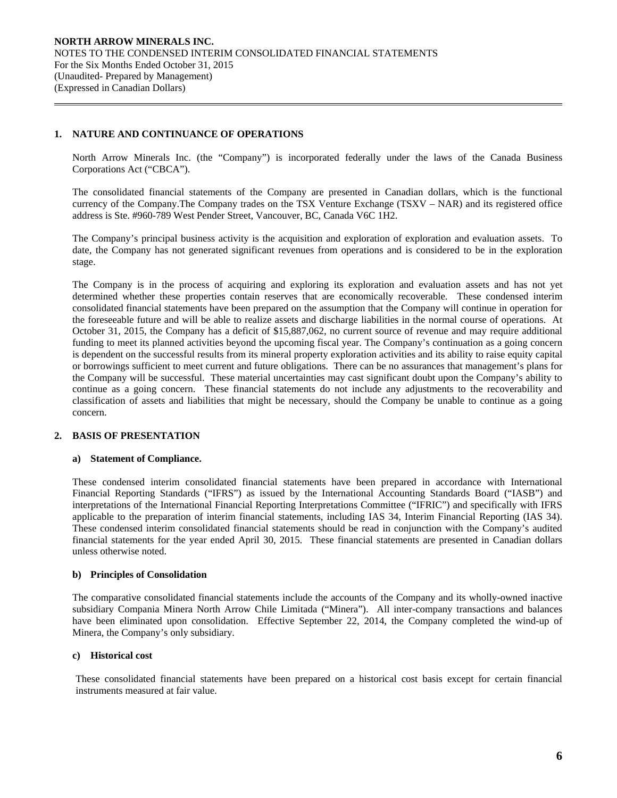# **1. NATURE AND CONTINUANCE OF OPERATIONS**

 $\overline{a}$ 

North Arrow Minerals Inc. (the "Company") is incorporated federally under the laws of the Canada Business Corporations Act ("CBCA").

The consolidated financial statements of the Company are presented in Canadian dollars, which is the functional currency of the Company.The Company trades on the TSX Venture Exchange (TSXV – NAR) and its registered office address is Ste. #960-789 West Pender Street, Vancouver, BC, Canada V6C 1H2.

The Company's principal business activity is the acquisition and exploration of exploration and evaluation assets. To date, the Company has not generated significant revenues from operations and is considered to be in the exploration stage.

The Company is in the process of acquiring and exploring its exploration and evaluation assets and has not yet determined whether these properties contain reserves that are economically recoverable. These condensed interim consolidated financial statements have been prepared on the assumption that the Company will continue in operation for the foreseeable future and will be able to realize assets and discharge liabilities in the normal course of operations. At October 31, 2015, the Company has a deficit of \$15,887,062, no current source of revenue and may require additional funding to meet its planned activities beyond the upcoming fiscal year. The Company's continuation as a going concern is dependent on the successful results from its mineral property exploration activities and its ability to raise equity capital or borrowings sufficient to meet current and future obligations. There can be no assurances that management's plans for the Company will be successful. These material uncertainties may cast significant doubt upon the Company's ability to continue as a going concern. These financial statements do not include any adjustments to the recoverability and classification of assets and liabilities that might be necessary, should the Company be unable to continue as a going concern.

# **2. BASIS OF PRESENTATION**

# **a) Statement of Compliance.**

These condensed interim consolidated financial statements have been prepared in accordance with International Financial Reporting Standards ("IFRS") as issued by the International Accounting Standards Board ("IASB") and interpretations of the International Financial Reporting Interpretations Committee ("IFRIC") and specifically with IFRS applicable to the preparation of interim financial statements, including IAS 34, Interim Financial Reporting (IAS 34). These condensed interim consolidated financial statements should be read in conjunction with the Company's audited financial statements for the year ended April 30, 2015. These financial statements are presented in Canadian dollars unless otherwise noted.

# **b) Principles of Consolidation**

The comparative consolidated financial statements include the accounts of the Company and its wholly-owned inactive subsidiary Compania Minera North Arrow Chile Limitada ("Minera"). All inter-company transactions and balances have been eliminated upon consolidation. Effective September 22, 2014, the Company completed the wind-up of Minera, the Company's only subsidiary.

### **c) Historical cost**

These consolidated financial statements have been prepared on a historical cost basis except for certain financial instruments measured at fair value.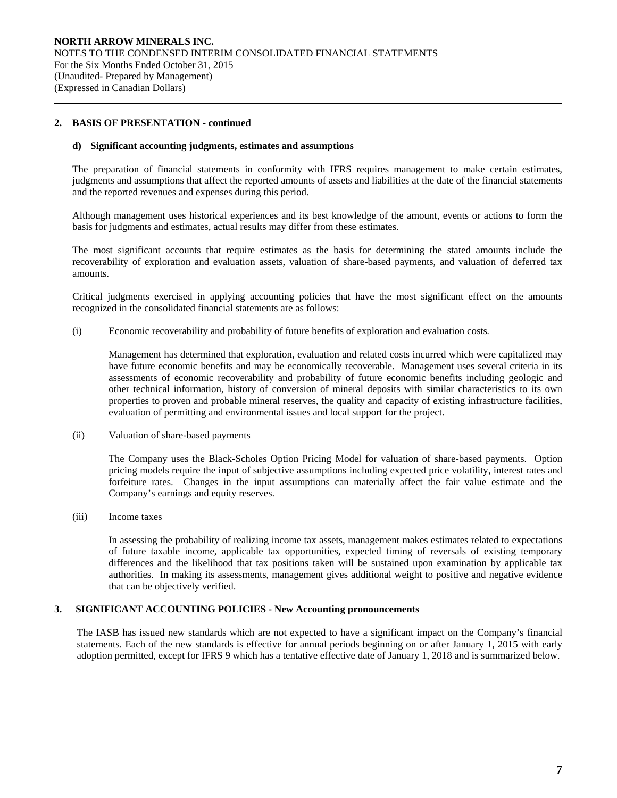## **2. BASIS OF PRESENTATION - continued**

 $\overline{a}$ 

#### **d) Significant accounting judgments, estimates and assumptions**

The preparation of financial statements in conformity with IFRS requires management to make certain estimates, judgments and assumptions that affect the reported amounts of assets and liabilities at the date of the financial statements and the reported revenues and expenses during this period.

Although management uses historical experiences and its best knowledge of the amount, events or actions to form the basis for judgments and estimates, actual results may differ from these estimates.

The most significant accounts that require estimates as the basis for determining the stated amounts include the recoverability of exploration and evaluation assets, valuation of share-based payments, and valuation of deferred tax amounts.

Critical judgments exercised in applying accounting policies that have the most significant effect on the amounts recognized in the consolidated financial statements are as follows:

(i) Economic recoverability and probability of future benefits of exploration and evaluation costs*.* 

 Management has determined that exploration, evaluation and related costs incurred which were capitalized may have future economic benefits and may be economically recoverable. Management uses several criteria in its assessments of economic recoverability and probability of future economic benefits including geologic and other technical information, history of conversion of mineral deposits with similar characteristics to its own properties to proven and probable mineral reserves, the quality and capacity of existing infrastructure facilities, evaluation of permitting and environmental issues and local support for the project.

(ii) Valuation of share-based payments

The Company uses the Black-Scholes Option Pricing Model for valuation of share-based payments. Option pricing models require the input of subjective assumptions including expected price volatility, interest rates and forfeiture rates. Changes in the input assumptions can materially affect the fair value estimate and the Company's earnings and equity reserves.

(iii) Income taxes

In assessing the probability of realizing income tax assets, management makes estimates related to expectations of future taxable income, applicable tax opportunities, expected timing of reversals of existing temporary differences and the likelihood that tax positions taken will be sustained upon examination by applicable tax authorities. In making its assessments, management gives additional weight to positive and negative evidence that can be objectively verified.

## **3. SIGNIFICANT ACCOUNTING POLICIES - New Accounting pronouncements**

The IASB has issued new standards which are not expected to have a significant impact on the Company's financial statements. Each of the new standards is effective for annual periods beginning on or after January 1, 2015 with early adoption permitted, except for IFRS 9 which has a tentative effective date of January 1, 2018 and is summarized below.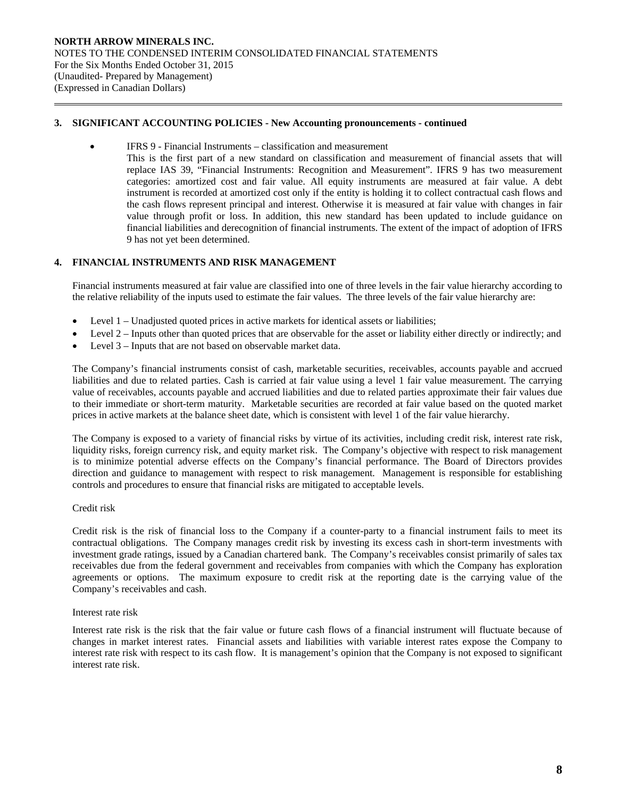## **3. SIGNIFICANT ACCOUNTING POLICIES - New Accounting pronouncements - continued**

- IFRS 9 Financial Instruments classification and measurement
	- This is the first part of a new standard on classification and measurement of financial assets that will replace IAS 39, "Financial Instruments: Recognition and Measurement". IFRS 9 has two measurement categories: amortized cost and fair value. All equity instruments are measured at fair value. A debt instrument is recorded at amortized cost only if the entity is holding it to collect contractual cash flows and the cash flows represent principal and interest. Otherwise it is measured at fair value with changes in fair value through profit or loss. In addition, this new standard has been updated to include guidance on financial liabilities and derecognition of financial instruments. The extent of the impact of adoption of IFRS 9 has not yet been determined.

## **4. FINANCIAL INSTRUMENTS AND RISK MANAGEMENT**

Financial instruments measured at fair value are classified into one of three levels in the fair value hierarchy according to the relative reliability of the inputs used to estimate the fair values. The three levels of the fair value hierarchy are:

- Level 1 Unadjusted quoted prices in active markets for identical assets or liabilities;
- Level 2 Inputs other than quoted prices that are observable for the asset or liability either directly or indirectly; and
- Level 3 Inputs that are not based on observable market data.

The Company's financial instruments consist of cash, marketable securities, receivables, accounts payable and accrued liabilities and due to related parties. Cash is carried at fair value using a level 1 fair value measurement. The carrying value of receivables, accounts payable and accrued liabilities and due to related parties approximate their fair values due to their immediate or short-term maturity. Marketable securities are recorded at fair value based on the quoted market prices in active markets at the balance sheet date, which is consistent with level 1 of the fair value hierarchy.

The Company is exposed to a variety of financial risks by virtue of its activities, including credit risk, interest rate risk, liquidity risks, foreign currency risk, and equity market risk. The Company's objective with respect to risk management is to minimize potential adverse effects on the Company's financial performance. The Board of Directors provides direction and guidance to management with respect to risk management. Management is responsible for establishing controls and procedures to ensure that financial risks are mitigated to acceptable levels.

### Credit risk

 $\overline{a}$ 

Credit risk is the risk of financial loss to the Company if a counter-party to a financial instrument fails to meet its contractual obligations. The Company manages credit risk by investing its excess cash in short-term investments with investment grade ratings, issued by a Canadian chartered bank. The Company's receivables consist primarily of sales tax receivables due from the federal government and receivables from companies with which the Company has exploration agreements or options. The maximum exposure to credit risk at the reporting date is the carrying value of the Company's receivables and cash.

### Interest rate risk

Interest rate risk is the risk that the fair value or future cash flows of a financial instrument will fluctuate because of changes in market interest rates. Financial assets and liabilities with variable interest rates expose the Company to interest rate risk with respect to its cash flow. It is management's opinion that the Company is not exposed to significant interest rate risk.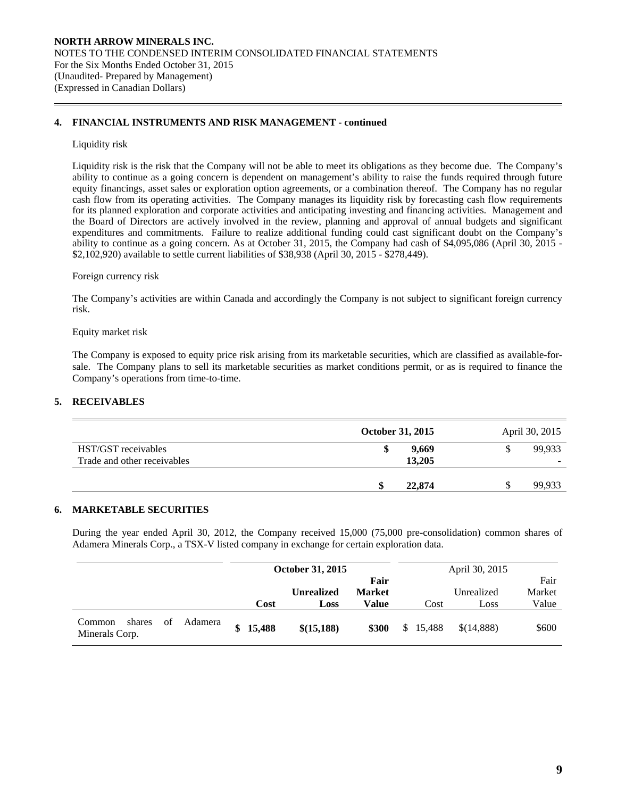## **4. FINANCIAL INSTRUMENTS AND RISK MANAGEMENT - continued**

### Liquidity risk

 $\overline{a}$ 

Liquidity risk is the risk that the Company will not be able to meet its obligations as they become due. The Company's ability to continue as a going concern is dependent on management's ability to raise the funds required through future equity financings, asset sales or exploration option agreements, or a combination thereof. The Company has no regular cash flow from its operating activities. The Company manages its liquidity risk by forecasting cash flow requirements for its planned exploration and corporate activities and anticipating investing and financing activities. Management and the Board of Directors are actively involved in the review, planning and approval of annual budgets and significant expenditures and commitments. Failure to realize additional funding could cast significant doubt on the Company's ability to continue as a going concern. As at October 31, 2015, the Company had cash of \$4,095,086 (April 30, 2015 - \$2,102,920) available to settle current liabilities of \$38,938 (April 30, 2015 - \$278,449).

#### Foreign currency risk

 The Company's activities are within Canada and accordingly the Company is not subject to significant foreign currency risk.

#### Equity market risk

The Company is exposed to equity price risk arising from its marketable securities, which are classified as available-forsale. The Company plans to sell its marketable securities as market conditions permit, or as is required to finance the Company's operations from time-to-time.

## **5. RECEIVABLES**

|                                                    | October 31, 2015     | April 30, 2015 |
|----------------------------------------------------|----------------------|----------------|
| HST/GST receivables<br>Trade and other receivables | 9.669<br>ъ<br>13,205 | 99.933         |
|                                                    | 22,874               | 99,933         |

# **6. MARKETABLE SECURITIES**

 During the year ended April 30, 2012, the Company received 15,000 (75,000 pre-consolidation) common shares of Adamera Minerals Corp., a TSX-V listed company in exchange for certain exploration data.

|                                          |         | October 31, 2015 |                           |                                |                |        | April 30, 2015     |                         |
|------------------------------------------|---------|------------------|---------------------------|--------------------------------|----------------|--------|--------------------|-------------------------|
|                                          |         | Cost             | <b>Unrealized</b><br>Loss | Fair<br><b>Market</b><br>Value |                | Cost   | Unrealized<br>Loss | Fair<br>Market<br>Value |
| of<br>shares<br>Common<br>Minerals Corp. | Adamera | \$15,488         | \$(15,188)                | \$300                          | $\mathbb{S}^-$ | 15.488 | \$(14.888)         | \$600                   |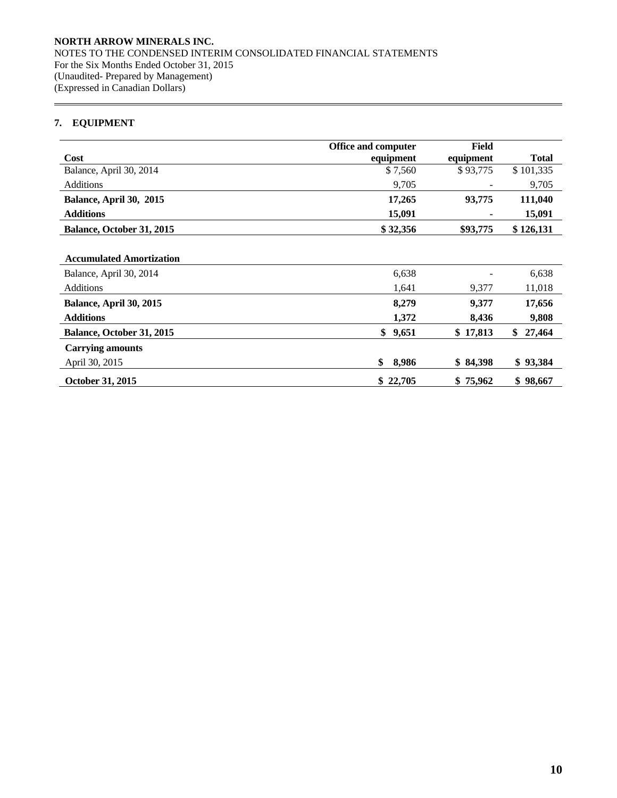# **7. EQUIPMENT**

 $\overline{a}$ 

|                                 | Office and computer | <b>Field</b> |              |
|---------------------------------|---------------------|--------------|--------------|
| Cost                            | equipment           | equipment    | <b>Total</b> |
| Balance, April 30, 2014         | \$7,560             | \$93,775     | \$101,335    |
| <b>Additions</b>                | 9,705               |              | 9,705        |
| Balance, April 30, 2015         | 17,265              | 93,775       | 111,040      |
| <b>Additions</b>                | 15,091              |              | 15,091       |
| Balance, October 31, 2015       | \$32,356            | \$93,775     | \$126,131    |
|                                 |                     |              |              |
| <b>Accumulated Amortization</b> |                     |              |              |
| Balance, April 30, 2014         | 6,638               |              | 6,638        |
| <b>Additions</b>                | 1,641               | 9,377        | 11,018       |
| Balance, April 30, 2015         | 8,279               | 9,377        | 17,656       |
| <b>Additions</b>                | 1,372               | 8,436        | 9,808        |
| Balance, October 31, 2015       | 9,651<br>\$         | \$17,813     | \$<br>27,464 |
| <b>Carrying amounts</b>         |                     |              |              |
| April 30, 2015                  | 8,986<br>\$         | \$84,398     | \$93,384     |
| October 31, 2015                | \$22,705            | \$75,962     | \$98,667     |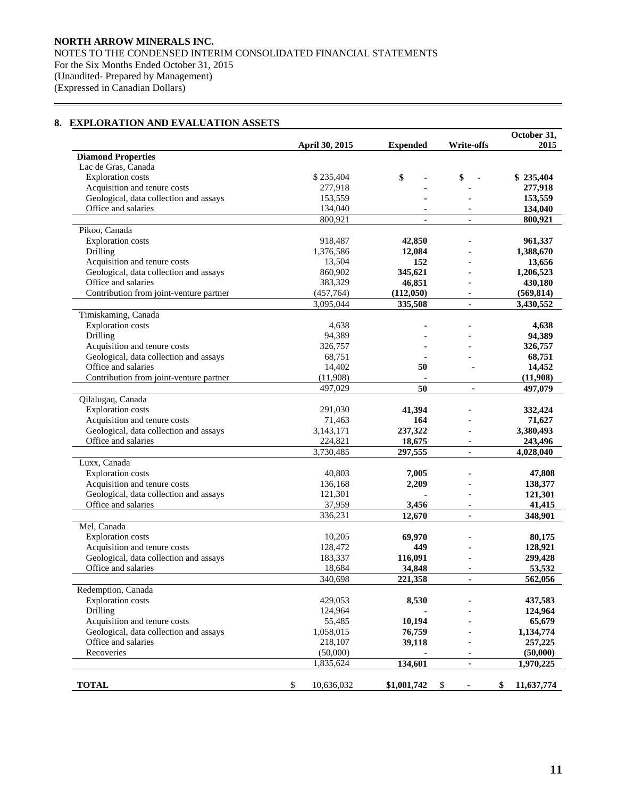# **8. EXPLORATION AND EVALUATION ASSETS**

 $\overline{a}$ 

|                                                               |                      |                 |         |                   |                          | October 31,      |
|---------------------------------------------------------------|----------------------|-----------------|---------|-------------------|--------------------------|------------------|
|                                                               | April 30, 2015       | <b>Expended</b> |         | <b>Write-offs</b> |                          | 2015             |
| <b>Diamond Properties</b>                                     |                      |                 |         |                   |                          |                  |
| Lac de Gras, Canada                                           |                      |                 |         |                   |                          |                  |
| <b>Exploration</b> costs                                      | \$235,404            | \$              |         | \$                |                          | \$235,404        |
| Acquisition and tenure costs                                  | 277,918              |                 |         |                   |                          | 277,918          |
| Geological, data collection and assays                        | 153,559              |                 |         |                   |                          | 153,559          |
| Office and salaries                                           | 134,040              |                 |         |                   |                          | 134,040          |
|                                                               | 800,921              |                 |         |                   |                          | 800,921          |
| Pikoo, Canada                                                 |                      |                 |         |                   |                          |                  |
| <b>Exploration costs</b>                                      | 918,487              |                 | 42,850  |                   |                          | 961,337          |
| Drilling                                                      | 1,376,586            |                 | 12,084  |                   |                          | 1,388,670        |
| Acquisition and tenure costs                                  | 13,504               |                 | 152     |                   |                          | 13,656           |
| Geological, data collection and assays                        | 860,902              | 345,621         |         |                   |                          | 1,206,523        |
| Office and salaries                                           | 383,329              |                 | 46,851  |                   |                          | 430,180          |
| Contribution from joint-venture partner                       | (457, 764)           | (112,050)       |         |                   |                          | (569, 814)       |
|                                                               | 3,095,044            |                 | 335,508 |                   |                          | 3,430,552        |
| Timiskaming, Canada                                           |                      |                 |         |                   |                          |                  |
| <b>Exploration</b> costs                                      | 4,638                |                 |         |                   |                          | 4,638            |
| Drilling                                                      | 94,389               |                 |         |                   |                          | 94,389           |
| Acquisition and tenure costs                                  | 326,757              |                 |         |                   |                          | 326,757          |
| Geological, data collection and assays                        | 68,751               |                 |         |                   |                          | 68,751           |
| Office and salaries                                           | 14,402               |                 | 50      |                   |                          | 14,452           |
| Contribution from joint-venture partner                       | (11,908)             |                 |         |                   |                          | (11,908)         |
|                                                               | 497,029              |                 | 50      |                   |                          | 497,079          |
| Qilalugaq, Canada                                             |                      |                 |         |                   |                          |                  |
| <b>Exploration</b> costs                                      | 291,030              |                 | 41,394  |                   |                          | 332,424          |
| Acquisition and tenure costs                                  | 71,463               |                 | 164     |                   |                          | 71,627           |
|                                                               |                      |                 |         |                   |                          |                  |
| Geological, data collection and assays<br>Office and salaries | 3,143,171<br>224,821 | 237,322         |         |                   | $\overline{\phantom{a}}$ | 3,380,493        |
|                                                               | 3,730,485            |                 | 18,675  |                   |                          | 243,496          |
|                                                               |                      |                 | 297,555 |                   | $\overline{\phantom{a}}$ | 4,028,040        |
| Luxx, Canada                                                  |                      |                 |         |                   |                          |                  |
| <b>Exploration</b> costs                                      | 40,803               |                 | 7,005   |                   |                          | 47,808           |
| Acquisition and tenure costs                                  | 136,168              |                 | 2,209   |                   |                          | 138,377          |
| Geological, data collection and assays                        | 121,301              |                 |         |                   |                          | 121,301          |
| Office and salaries                                           | 37,959               |                 | 3,456   |                   |                          | 41,415           |
|                                                               | 336,231              |                 | 12,670  |                   |                          | 348,901          |
| Mel, Canada                                                   |                      |                 |         |                   |                          |                  |
| <b>Exploration</b> costs                                      | 10,205               |                 | 69,970  |                   |                          | 80,175           |
| Acquisition and tenure costs                                  | 128,472              |                 | 449     |                   |                          | 128,921          |
| Geological, data collection and assays                        | 183,337              | 116,091         |         |                   |                          | 299,428          |
| Office and salaries                                           | 18,684               |                 | 34,848  |                   |                          | 53,532           |
|                                                               | 340,698              | 221,358         |         |                   |                          | 562,056          |
| Redemption, Canada                                            |                      |                 |         |                   |                          |                  |
| <b>Exploration</b> costs                                      | 429,053              |                 | 8,530   |                   |                          | 437,583          |
| Drilling                                                      | 124,964              |                 |         |                   |                          | 124,964          |
| Acquisition and tenure costs                                  | 55,485               |                 | 10,194  |                   |                          | 65,679           |
| Geological, data collection and assays                        | 1,058,015            |                 | 76,759  |                   |                          | 1,134,774        |
| Office and salaries                                           | 218,107              |                 | 39,118  |                   |                          | 257,225          |
| Recoveries                                                    | (50,000)             |                 |         |                   | $\overline{a}$           | (50,000)         |
|                                                               | 1,835,624            | 134,601         |         |                   | $\overline{\phantom{a}}$ | 1,970,225        |
|                                                               |                      |                 |         |                   |                          |                  |
| <b>TOTAL</b>                                                  | \$<br>10,636,032     | \$1,001,742     |         | \$                |                          | \$<br>11,637,774 |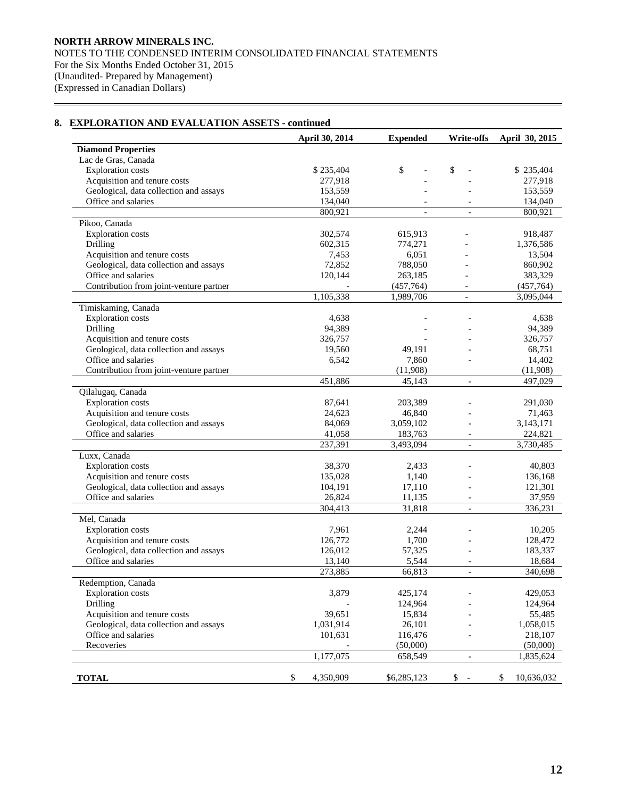### **April 30, 2014 Expended Write-offs April 30, 2015 Diamond Properties**  Lac de Gras, Canada Exploration costs \$ 235,404 \$ 235,404 \$  $\frac{1}{2}$  \$ 235,404 \$ 235,404 Acquisition and tenure costs 277,918 - 277,918 - 277,918 Geological, data collection and assays 153,559 - 153,559 - 153,559 Office and salaries 134,040 - 134,040 - 134,040  $800,921$  - 800,921 Pikoo, Canada Exploration costs 302,574 615,913 - 918,487 Drilling 602,315 774,271 - 1,376,586 Acquisition and tenure costs  $7,453$  6,051 - 13,504 Geological, data collection and assays  $72,852$   $788,050$  - 860,902 Office and salaries 120,144 263,185 - 383,329 Contribution from joint-venture partner  $(457,764)$  (457,764) 1,105,338 1,989,706 - 3,095,044 Timiskaming, Canada Exploration costs <br>  $4,638$  - - 4,638<br>
Drilling 94,389 - - 94,389 Drilling 94,389 - 94,389 - 94,389 Acquisition and tenure costs 326,757 - 326,757 - 326,757 Geological, data collection and assays 19,560 49,191 - 68,751 Office and salaries 6,542 7,860 - 14,402 Contribution from joint-venture partner (11,908) (11,908) (11,908) 451,886 45,143 - 497,029 Qilalugaq, Canada Exploration costs 87,641 203,389 - 291,030 Acquisition and tenure costs 24,623 46,840 - 71,463 Geological, data collection and assays 84,069 3,059,102 - 3,143,171 Office and salaries 41,058 183,763 - 224,821 237,391 3,493,094 - 3,730,485 Luxx, Canada Exploration costs 38,370 2,433 - 40,803 Acquisition and tenure costs<br>
Geological, data collection and assays<br>  $104,191$ <br>  $17,110$  - 121,301 Geological, data collection and assays Office and salaries 26,824 11,135 - 37,959 304,413 31,818 - 336,231 Mel, Canada Exploration costs 7,961 2,244 - 10,205 Acquisition and tenure costs 126,772 1,700 - 128,472 Geological, data collection and assays 126,012 57,325 - 183,337 Office and salaries 13,140 5,544 - 18,684 273,885 66,813 - 340,698 Redemption, Canada Exploration costs 3,879 425,174 - 429,053 Drilling 124,964 - 124,964 - 124,964 Acquisition and tenure costs 39,651 15,834 - 55,485 Geological, data collection and assays 1,031,914 26,101 - 1,058,015 Office and salaries 101,631 116,476 - 218,107 Recoveries (50,000) (50,000) (50,000) (50,000) 1,177,075 658,549 - 1,835,624 **TOTAL** 5 4,350,909 \$6,285,123 \$ - \$ 10,636,032

## **8. EXPLORATION AND EVALUATION ASSETS - continued**

 $\overline{a}$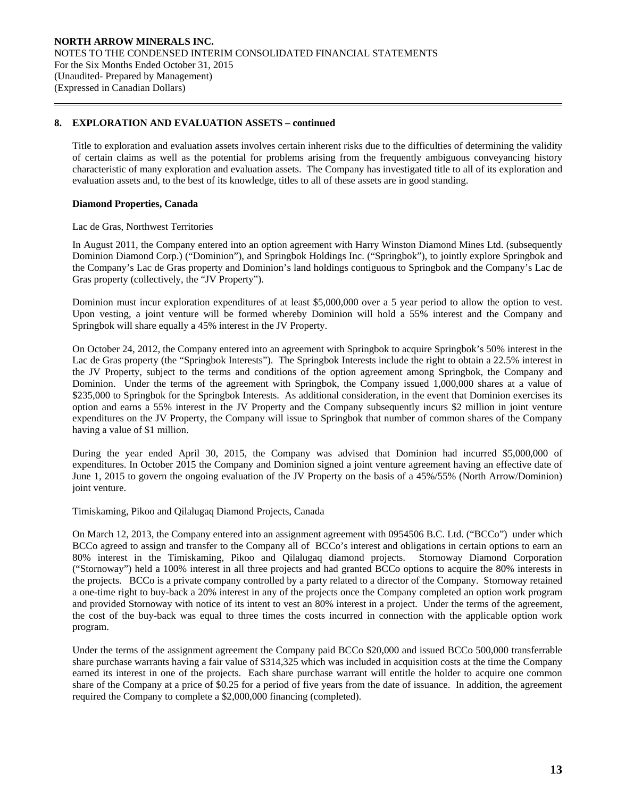## **8. EXPLORATION AND EVALUATION ASSETS – continued**

 Title to exploration and evaluation assets involves certain inherent risks due to the difficulties of determining the validity of certain claims as well as the potential for problems arising from the frequently ambiguous conveyancing history characteristic of many exploration and evaluation assets. The Company has investigated title to all of its exploration and evaluation assets and, to the best of its knowledge, titles to all of these assets are in good standing.

## **Diamond Properties, Canada**

 $\overline{a}$ 

### Lac de Gras, Northwest Territories

In August 2011, the Company entered into an option agreement with Harry Winston Diamond Mines Ltd. (subsequently Dominion Diamond Corp.) ("Dominion"), and Springbok Holdings Inc. ("Springbok"), to jointly explore Springbok and the Company's Lac de Gras property and Dominion's land holdings contiguous to Springbok and the Company's Lac de Gras property (collectively, the "JV Property").

Dominion must incur exploration expenditures of at least \$5,000,000 over a 5 year period to allow the option to vest. Upon vesting, a joint venture will be formed whereby Dominion will hold a 55% interest and the Company and Springbok will share equally a 45% interest in the JV Property.

On October 24, 2012, the Company entered into an agreement with Springbok to acquire Springbok's 50% interest in the Lac de Gras property (the "Springbok Interests"). The Springbok Interests include the right to obtain a 22.5% interest in the JV Property, subject to the terms and conditions of the option agreement among Springbok, the Company and Dominion. Under the terms of the agreement with Springbok, the Company issued 1,000,000 shares at a value of \$235,000 to Springbok for the Springbok Interests. As additional consideration, in the event that Dominion exercises its option and earns a 55% interest in the JV Property and the Company subsequently incurs \$2 million in joint venture expenditures on the JV Property, the Company will issue to Springbok that number of common shares of the Company having a value of \$1 million.

During the year ended April 30, 2015, the Company was advised that Dominion had incurred \$5,000,000 of expenditures. In October 2015 the Company and Dominion signed a joint venture agreement having an effective date of June 1, 2015 to govern the ongoing evaluation of the JV Property on the basis of a 45%/55% (North Arrow/Dominion) joint venture.

Timiskaming, Pikoo and Qilalugaq Diamond Projects, Canada

On March 12, 2013, the Company entered into an assignment agreement with 0954506 B.C. Ltd. ("BCCo") under which BCCo agreed to assign and transfer to the Company all of BCCo's interest and obligations in certain options to earn an 80% interest in the Timiskaming, Pikoo and Qilalugaq diamond projects. Stornoway Diamond Corporation ("Stornoway") held a 100% interest in all three projects and had granted BCCo options to acquire the 80% interests in the projects. BCCo is a private company controlled by a party related to a director of the Company. Stornoway retained a one-time right to buy-back a 20% interest in any of the projects once the Company completed an option work program and provided Stornoway with notice of its intent to vest an 80% interest in a project. Under the terms of the agreement, the cost of the buy-back was equal to three times the costs incurred in connection with the applicable option work program.

Under the terms of the assignment agreement the Company paid BCCo \$20,000 and issued BCCo 500,000 transferrable share purchase warrants having a fair value of \$314,325 which was included in acquisition costs at the time the Company earned its interest in one of the projects. Each share purchase warrant will entitle the holder to acquire one common share of the Company at a price of \$0.25 for a period of five years from the date of issuance. In addition, the agreement required the Company to complete a \$2,000,000 financing (completed).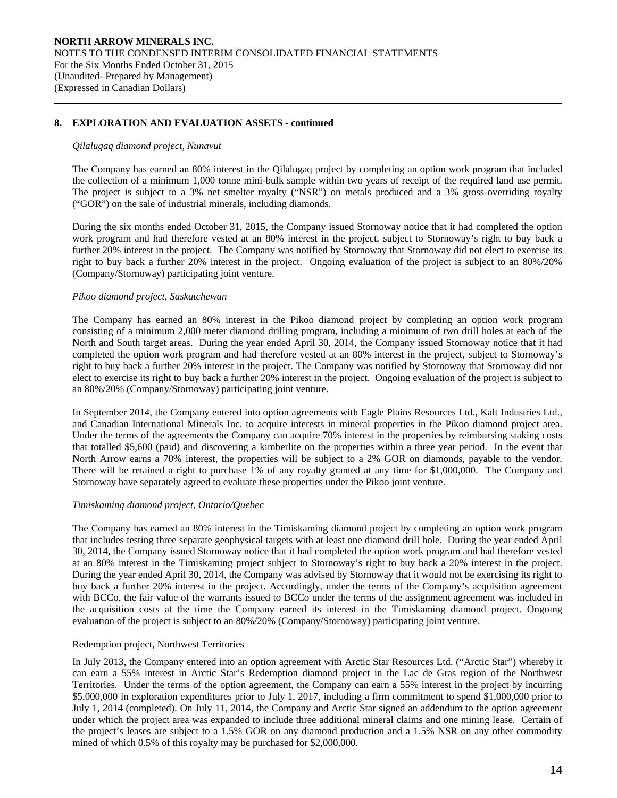## **8. EXPLORATION AND EVALUATION ASSETS - continued**

### *Qilalugaq diamond project, Nunavut*

 $\overline{a}$ 

The Company has earned an 80% interest in the Qilalugaq project by completing an option work program that included the collection of a minimum 1,000 tonne mini-bulk sample within two years of receipt of the required land use permit. The project is subject to a 3% net smelter royalty ("NSR") on metals produced and a 3% gross-overriding royalty ("GOR") on the sale of industrial minerals, including diamonds.

During the six months ended October 31, 2015, the Company issued Stornoway notice that it had completed the option work program and had therefore vested at an 80% interest in the project, subject to Stornoway's right to buy back a further 20% interest in the project. The Company was notified by Stornoway that Stornoway did not elect to exercise its right to buy back a further 20% interest in the project. Ongoing evaluation of the project is subject to an 80%/20% (Company/Stornoway) participating joint venture.

## *Pikoo diamond project, Saskatchewan*

The Company has earned an 80% interest in the Pikoo diamond project by completing an option work program consisting of a minimum 2,000 meter diamond drilling program, including a minimum of two drill holes at each of the North and South target areas. During the year ended April 30, 2014, the Company issued Stornoway notice that it had completed the option work program and had therefore vested at an 80% interest in the project, subject to Stornoway's right to buy back a further 20% interest in the project. The Company was notified by Stornoway that Stornoway did not elect to exercise its right to buy back a further 20% interest in the project. Ongoing evaluation of the project is subject to an 80%/20% (Company/Stornoway) participating joint venture.

In September 2014, the Company entered into option agreements with Eagle Plains Resources Ltd., Kalt Industries Ltd., and Canadian International Minerals Inc. to acquire interests in mineral properties in the Pikoo diamond project area. Under the terms of the agreements the Company can acquire 70% interest in the properties by reimbursing staking costs that totalled \$5,600 (paid) and discovering a kimberlite on the properties within a three year period. In the event that North Arrow earns a 70% interest, the properties will be subject to a 2% GOR on diamonds, payable to the vendor. There will be retained a right to purchase 1% of any royalty granted at any time for \$1,000,000. The Company and Stornoway have separately agreed to evaluate these properties under the Pikoo joint venture.

### *Timiskaming diamond project, Ontario/Quebec*

The Company has earned an 80% interest in the Timiskaming diamond project by completing an option work program that includes testing three separate geophysical targets with at least one diamond drill hole. During the year ended April 30, 2014, the Company issued Stornoway notice that it had completed the option work program and had therefore vested at an 80% interest in the Timiskaming project subject to Stornoway's right to buy back a 20% interest in the project. During the year ended April 30, 2014, the Company was advised by Stornoway that it would not be exercising its right to buy back a further 20% interest in the project. Accordingly, under the terms of the Company's acquisition agreement with BCCo, the fair value of the warrants issued to BCCo under the terms of the assignment agreement was included in the acquisition costs at the time the Company earned its interest in the Timiskaming diamond project. Ongoing evaluation of the project is subject to an 80%/20% (Company/Stornoway) participating joint venture.

### Redemption project, Northwest Territories

In July 2013, the Company entered into an option agreement with Arctic Star Resources Ltd. ("Arctic Star") whereby it can earn a 55% interest in Arctic Star's Redemption diamond project in the Lac de Gras region of the Northwest Territories. Under the terms of the option agreement, the Company can earn a 55% interest in the project by incurring \$5,000,000 in exploration expenditures prior to July 1, 2017, including a firm commitment to spend \$1,000,000 prior to July 1, 2014 (completed). On July 11, 2014, the Company and Arctic Star signed an addendum to the option agreement under which the project area was expanded to include three additional mineral claims and one mining lease. Certain of the project's leases are subject to a 1.5% GOR on any diamond production and a 1.5% NSR on any other commodity mined of which 0.5% of this royalty may be purchased for \$2,000,000.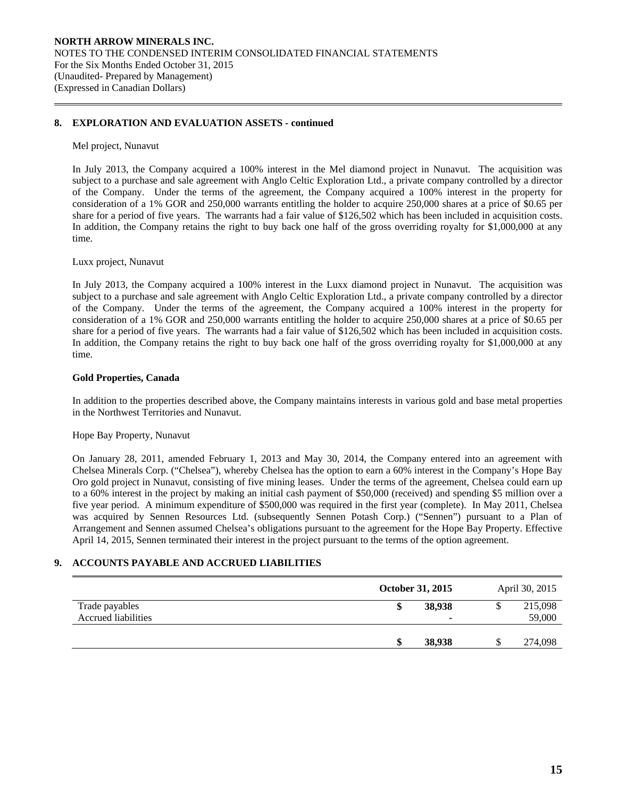## **8. EXPLORATION AND EVALUATION ASSETS - continued**

#### Mel project, Nunavut

 $\overline{a}$ 

In July 2013, the Company acquired a 100% interest in the Mel diamond project in Nunavut. The acquisition was subject to a purchase and sale agreement with Anglo Celtic Exploration Ltd., a private company controlled by a director of the Company. Under the terms of the agreement, the Company acquired a 100% interest in the property for consideration of a 1% GOR and 250,000 warrants entitling the holder to acquire 250,000 shares at a price of \$0.65 per share for a period of five years. The warrants had a fair value of \$126,502 which has been included in acquisition costs. In addition, the Company retains the right to buy back one half of the gross overriding royalty for \$1,000,000 at any time.

#### Luxx project, Nunavut

In July 2013, the Company acquired a 100% interest in the Luxx diamond project in Nunavut. The acquisition was subject to a purchase and sale agreement with Anglo Celtic Exploration Ltd., a private company controlled by a director of the Company. Under the terms of the agreement, the Company acquired a 100% interest in the property for consideration of a 1% GOR and 250,000 warrants entitling the holder to acquire 250,000 shares at a price of \$0.65 per share for a period of five years. The warrants had a fair value of \$126,502 which has been included in acquisition costs. In addition, the Company retains the right to buy back one half of the gross overriding royalty for \$1,000,000 at any time.

### **Gold Properties, Canada**

 In addition to the properties described above, the Company maintains interests in various gold and base metal properties in the Northwest Territories and Nunavut.

### Hope Bay Property, Nunavut

On January 28, 2011, amended February 1, 2013 and May 30, 2014, the Company entered into an agreement with Chelsea Minerals Corp. ("Chelsea"), whereby Chelsea has the option to earn a 60% interest in the Company's Hope Bay Oro gold project in Nunavut, consisting of five mining leases. Under the terms of the agreement, Chelsea could earn up to a 60% interest in the project by making an initial cash payment of \$50,000 (received) and spending \$5 million over a five year period. A minimum expenditure of \$500,000 was required in the first year (complete). In May 2011, Chelsea was acquired by Sennen Resources Ltd. (subsequently Sennen Potash Corp.) ("Sennen") pursuant to a Plan of Arrangement and Sennen assumed Chelsea's obligations pursuant to the agreement for the Hope Bay Property. Effective April 14, 2015, Sennen terminated their interest in the project pursuant to the terms of the option agreement.

## **9. ACCOUNTS PAYABLE AND ACCRUED LIABILITIES**

|                                       | October 31, 2015 | April 30, 2015    |
|---------------------------------------|------------------|-------------------|
| Trade payables<br>Accrued liabilities | 38,938<br>ง      | 215,098<br>59,000 |
|                                       | 38,938<br>æ      | 274,098           |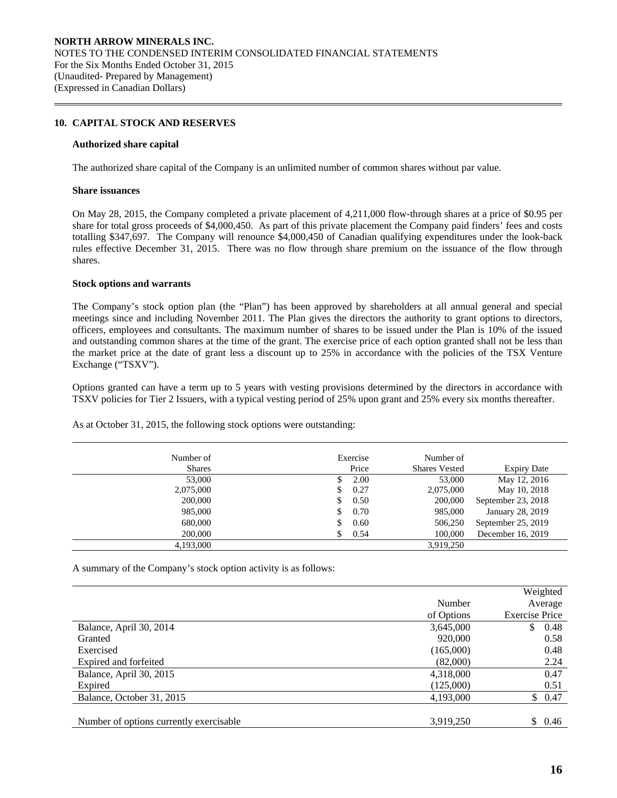## **10. CAPITAL STOCK AND RESERVES**

#### **Authorized share capital**

The authorized share capital of the Company is an unlimited number of common shares without par value.

#### **Share issuances**

 $\overline{a}$ 

On May 28, 2015, the Company completed a private placement of 4,211,000 flow-through shares at a price of \$0.95 per share for total gross proceeds of \$4,000,450. As part of this private placement the Company paid finders' fees and costs totalling \$347,697. The Company will renounce \$4,000,450 of Canadian qualifying expenditures under the look-back rules effective December 31, 2015. There was no flow through share premium on the issuance of the flow through shares.

#### **Stock options and warrants**

 The Company's stock option plan (the "Plan") has been approved by shareholders at all annual general and special meetings since and including November 2011. The Plan gives the directors the authority to grant options to directors, officers, employees and consultants. The maximum number of shares to be issued under the Plan is 10% of the issued and outstanding common shares at the time of the grant. The exercise price of each option granted shall not be less than the market price at the date of grant less a discount up to 25% in accordance with the policies of the TSX Venture Exchange ("TSXV").

Options granted can have a term up to 5 years with vesting provisions determined by the directors in accordance with TSXV policies for Tier 2 Issuers, with a typical vesting period of 25% upon grant and 25% every six months thereafter.

| Number of     |    | Exercise | Number of            |                    |
|---------------|----|----------|----------------------|--------------------|
| <b>Shares</b> |    | Price    | <b>Shares Vested</b> | <b>Expiry Date</b> |
| 53,000        | S  | 2.00     | 53,000               | May 12, 2016       |
| 2,075,000     | S  | 0.27     | 2,075,000            | May 10, 2018       |
| 200,000       | \$ | 0.50     | 200,000              | September 23, 2018 |
| 985,000       | \$ | 0.70     | 985,000              | January 28, 2019   |
| 680,000       | \$ | 0.60     | 506,250              | September 25, 2019 |
| 200,000       |    | 0.54     | 100,000              | December 16, 2019  |
| 4,193,000     |    |          | 3,919,250            |                    |

As at October 31, 2015, the following stock options were outstanding:

A summary of the Company's stock option activity is as follows:

|                                         |            | Weighted              |
|-----------------------------------------|------------|-----------------------|
|                                         | Number     | Average               |
|                                         | of Options | <b>Exercise Price</b> |
| Balance, April 30, 2014                 | 3,645,000  | 0.48<br>\$.           |
| Granted                                 | 920,000    | 0.58                  |
| Exercised                               | (165,000)  | 0.48                  |
| Expired and forfeited                   | (82,000)   | 2.24                  |
| Balance, April 30, 2015                 | 4,318,000  | 0.47                  |
| Expired                                 | (125,000)  | 0.51                  |
| Balance, October 31, 2015               | 4,193,000  | \$0.47                |
|                                         |            |                       |
| Number of options currently exercisable | 3,919,250  | \$0.46                |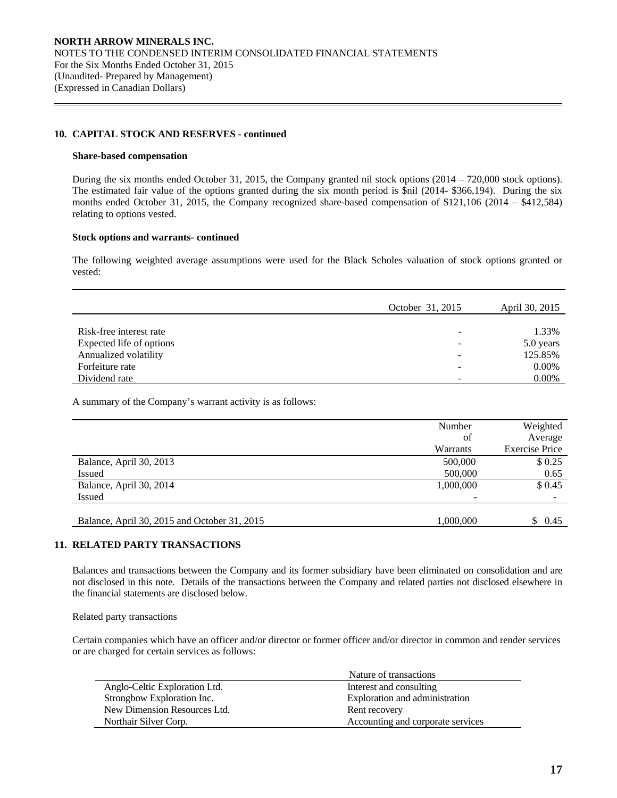## **10. CAPITAL STOCK AND RESERVES - continued**

#### **Share-based compensation**

 $\overline{a}$ 

 During the six months ended October 31, 2015, the Company granted nil stock options (2014 – 720,000 stock options). The estimated fair value of the options granted during the six month period is \$nil (2014- \$366,194). During the six months ended October 31, 2015, the Company recognized share-based compensation of \$121,106 (2014 – \$412,584) relating to options vested.

## **Stock options and warrants- continued**

The following weighted average assumptions were used for the Black Scholes valuation of stock options granted or vested:

|                          | October 31, 2015 | April 30, 2015 |
|--------------------------|------------------|----------------|
|                          |                  |                |
| Risk-free interest rate  |                  | 1.33%          |
| Expected life of options |                  | 5.0 years      |
| Annualized volatility    | -                | 125.85%        |
| Forfeiture rate          |                  | 0.00%          |
| Dividend rate            |                  | $0.00\%$       |

A summary of the Company's warrant activity is as follows:

|                                              | Number    | Weighted              |
|----------------------------------------------|-----------|-----------------------|
|                                              | of        | Average               |
|                                              | Warrants  | <b>Exercise Price</b> |
| Balance, April 30, 2013                      | 500,000   | \$0.25                |
| Issued                                       | 500,000   | 0.65                  |
| Balance, April 30, 2014                      | 1,000,000 | \$0.45                |
| Issued                                       | -         |                       |
|                                              |           |                       |
| Balance, April 30, 2015 and October 31, 2015 | 1.000.000 | \$0.45                |

# **11. RELATED PARTY TRANSACTIONS**

 Balances and transactions between the Company and its former subsidiary have been eliminated on consolidation and are not disclosed in this note. Details of the transactions between the Company and related parties not disclosed elsewhere in the financial statements are disclosed below.

Related party transactions

Certain companies which have an officer and/or director or former officer and/or director in common and render services or are charged for certain services as follows:

|                               | Nature of transactions            |
|-------------------------------|-----------------------------------|
| Anglo-Celtic Exploration Ltd. | Interest and consulting           |
| Strongbow Exploration Inc.    | Exploration and administration    |
| New Dimension Resources Ltd.  | Rent recovery                     |
| Northair Silver Corp.         | Accounting and corporate services |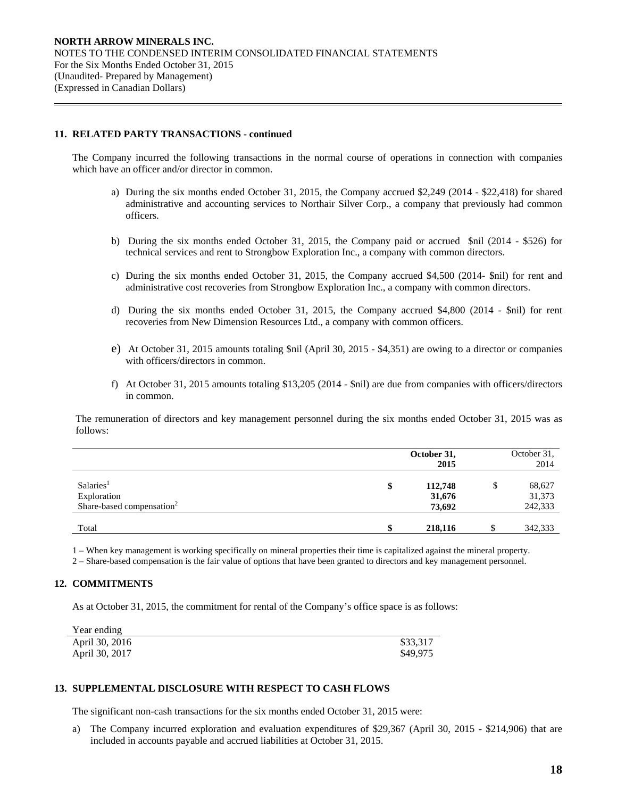## **11. RELATED PARTY TRANSACTIONS - continued**

 $\overline{a}$ 

 The Company incurred the following transactions in the normal course of operations in connection with companies which have an officer and/or director in common.

- a) During the six months ended October 31, 2015, the Company accrued \$2,249 (2014 \$22,418) for shared administrative and accounting services to Northair Silver Corp., a company that previously had common officers.
- b) During the six months ended October 31, 2015, the Company paid or accrued \$nil (2014 \$526) for technical services and rent to Strongbow Exploration Inc., a company with common directors.
- c) During the six months ended October 31, 2015, the Company accrued \$4,500 (2014- \$nil) for rent and administrative cost recoveries from Strongbow Exploration Inc., a company with common directors.
- d) During the six months ended October 31, 2015, the Company accrued \$4,800 (2014 \$nil) for rent recoveries from New Dimension Resources Ltd., a company with common officers.
- e) At October 31, 2015 amounts totaling \$nil (April 30, 2015 \$4,351) are owing to a director or companies with officers/directors in common.
- f) At October 31, 2015 amounts totaling \$13,205 (2014 \$nil) are due from companies with officers/directors in common.

 The remuneration of directors and key management personnel during the six months ended October 31, 2015 was as follows:

|                                                                               |    | October 31,<br>2015         | October 31,<br>2014         |
|-------------------------------------------------------------------------------|----|-----------------------------|-----------------------------|
| Salaries <sup>1</sup><br>Exploration<br>Share-based compensation <sup>2</sup> | \$ | 112,748<br>31,676<br>73,692 | 68,627<br>31,373<br>242,333 |
| Total                                                                         | ¢  | 218,116                     | 342,333                     |

1 – When key management is working specifically on mineral properties their time is capitalized against the mineral property.

2 – Share-based compensation is the fair value of options that have been granted to directors and key management personnel.

# **12. COMMITMENTS**

As at October 31, 2015, the commitment for rental of the Company's office space is as follows:

| Year ending    |          |
|----------------|----------|
| April 30, 2016 | \$33,317 |
| April 30, 2017 | \$49,975 |

### **13. SUPPLEMENTAL DISCLOSURE WITH RESPECT TO CASH FLOWS**

The significant non-cash transactions for the six months ended October 31, 2015 were:

a) The Company incurred exploration and evaluation expenditures of \$29,367 (April 30, 2015 - \$214,906) that are included in accounts payable and accrued liabilities at October 31, 2015.